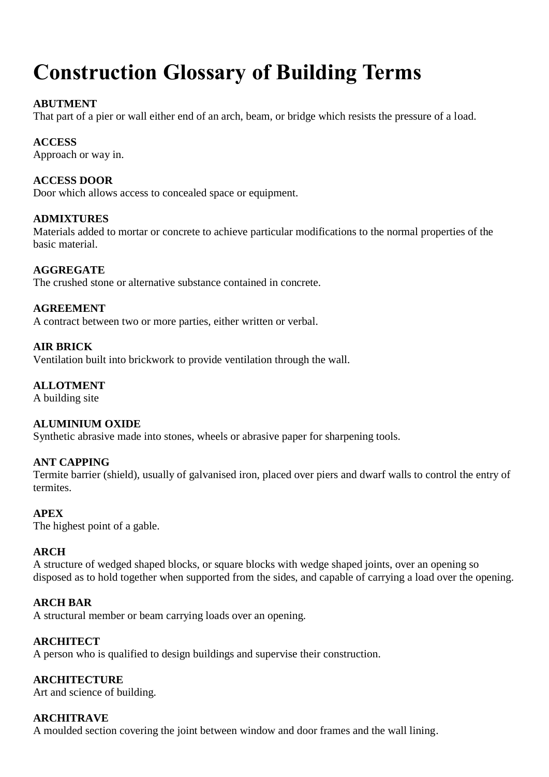# **Construction Glossary of Building Terms**

# **ABUTMENT**

That part of a pier or wall either end of an arch, beam, or bridge which resists the pressure of a load.

# **ACCESS**

Approach or way in.

# **ACCESS DOOR**

Door which allows access to concealed space or equipment.

# **ADMIXTURES**

Materials added to mortar or concrete to achieve particular modifications to the normal properties of the basic material.

# **AGGREGATE**

The crushed stone or alternative substance contained in concrete.

# **AGREEMENT**

A contract between two or more parties, either written or verbal.

# **AIR BRICK**

Ventilation built into brickwork to provide ventilation through the wall.

# **ALLOTMENT**

A building site

# **ALUMINIUM OXIDE**

Synthetic abrasive made into stones, wheels or abrasive paper for sharpening tools.

# **ANT CAPPING**

Termite barrier (shield), usually of galvanised iron, placed over piers and dwarf walls to control the entry of termites.

# **APEX**

The highest point of a gable.

# **ARCH**

A structure of wedged shaped blocks, or square blocks with wedge shaped joints, over an opening so disposed as to hold together when supported from the sides, and capable of carrying a load over the opening.

# **ARCH BAR**

A structural member or beam carrying loads over an opening.

# **ARCHITECT**

A person who is qualified to design buildings and supervise their construction.

# **ARCHITECTURE**

Art and science of building.

# **ARCHITRAVE**

A moulded section covering the joint between window and door frames and the wall lining.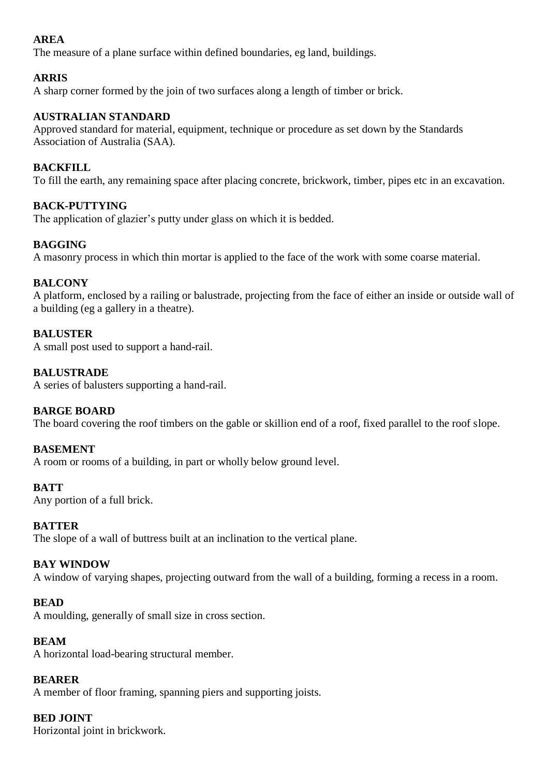# **AREA**

The measure of a plane surface within defined boundaries, eg land, buildings.

# **ARRIS**

A sharp corner formed by the join of two surfaces along a length of timber or brick.

# **AUSTRALIAN STANDARD**

Approved standard for material, equipment, technique or procedure as set down by the Standards Association of Australia (SAA).

# **BACKFILL**

To fill the earth, any remaining space after placing concrete, brickwork, timber, pipes etc in an excavation.

# **BACK-PUTTYING**

The application of glazier's putty under glass on which it is bedded.

# **BAGGING**

A masonry process in which thin mortar is applied to the face of the work with some coarse material.

# **BALCONY**

A platform, enclosed by a railing or balustrade, projecting from the face of either an inside or outside wall of a building (eg a gallery in a theatre).

# **BALUSTER**

A small post used to support a hand-rail.

# **BALUSTRADE**

A series of balusters supporting a hand-rail.

# **BARGE BOARD**

The board covering the roof timbers on the gable or skillion end of a roof, fixed parallel to the roof slope.

#### **BASEMENT**

A room or rooms of a building, in part or wholly below ground level.

#### **BATT**

Any portion of a full brick.

#### **BATTER**

The slope of a wall of buttress built at an inclination to the vertical plane.

#### **BAY WINDOW**

A window of varying shapes, projecting outward from the wall of a building, forming a recess in a room.

#### **BEAD**

A moulding, generally of small size in cross section.

#### **BEAM**

A horizontal load-bearing structural member.

#### **BEARER**

A member of floor framing, spanning piers and supporting joists.

#### **BED JOINT**

Horizontal joint in brickwork.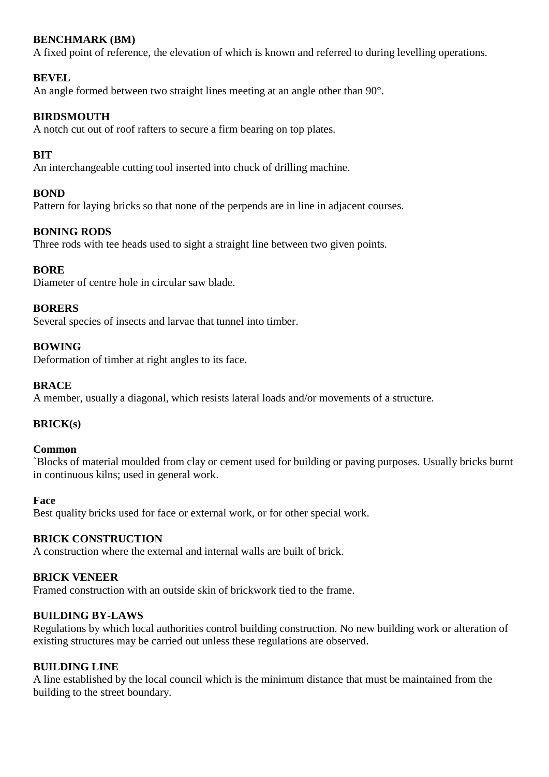# **BENCHMARK (BM)**

A fixed point of reference, the elevation of which is known and referred to during levelling operations.

# **BEVEL**

An angle formed between two straight lines meeting at an angle other than 90°.

# **BIRDSMOUTH**

A notch cut out of roof rafters to secure a firm bearing on top plates.

# **BIT**

An interchangeable cutting tool inserted into chuck of drilling machine.

# **BOND**

Pattern for laying bricks so that none of the perpends are in line in adjacent courses.

# **BONING RODS**

Three rods with tee heads used to sight a straight line between two given points.

# **BORE**

Diameter of centre hole in circular saw blade.

# **BORERS**

Several species of insects and larvae that tunnel into timber.

# **BOWING**

Deformation of timber at right angles to its face.

# **BRACE**

A member, usually a diagonal, which resists lateral loads and/or movements of a structure.

# **BRICK(s)**

#### **Common**

`Blocks of material moulded from clay or cement used for building or paving purposes. Usually bricks burnt in continuous kilns; used in general work.

#### **Face**

Best quality bricks used for face or external work, or for other special work.

#### **BRICK CONSTRUCTION**

A construction where the external and internal walls are built of brick.

#### **BRICK VENEER**

Framed construction with an outside skin of brickwork tied to the frame.

# **BUILDING BY-LAWS**

Regulations by which local authorities control building construction. No new building work or alteration of existing structures may be carried out unless these regulations are observed.

#### **BUILDING LINE**

A line established by the local council which is the minimum distance that must be maintained from the building to the street boundary.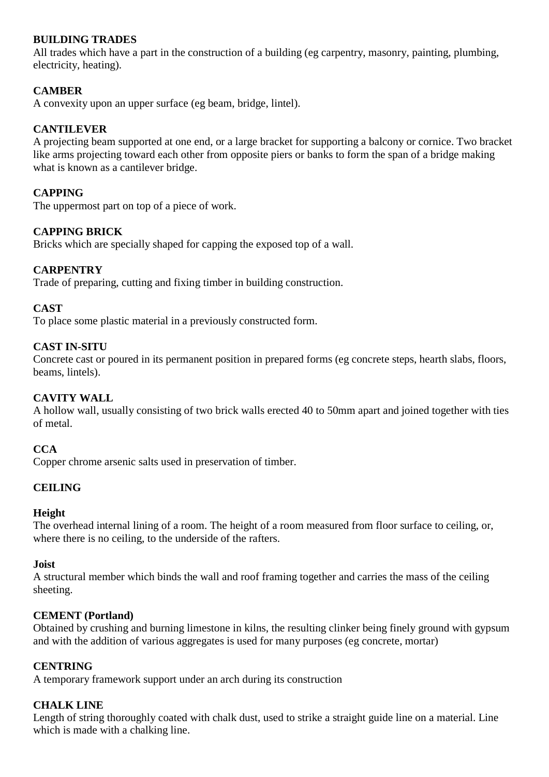# **BUILDING TRADES**

All trades which have a part in the construction of a building (eg carpentry, masonry, painting, plumbing, electricity, heating).

# **CAMBER**

A convexity upon an upper surface (eg beam, bridge, lintel).

#### **CANTILEVER**

A projecting beam supported at one end, or a large bracket for supporting a balcony or cornice. Two bracket like arms projecting toward each other from opposite piers or banks to form the span of a bridge making what is known as a cantilever bridge.

# **CAPPING**

The uppermost part on top of a piece of work.

# **CAPPING BRICK**

Bricks which are specially shaped for capping the exposed top of a wall.

# **CARPENTRY**

Trade of preparing, cutting and fixing timber in building construction.

#### **CAST**

To place some plastic material in a previously constructed form.

#### **CAST IN-SITU**

Concrete cast or poured in its permanent position in prepared forms (eg concrete steps, hearth slabs, floors, beams, lintels).

#### **CAVITY WALL**

A hollow wall, usually consisting of two brick walls erected 40 to 50mm apart and joined together with ties of metal.

#### **CCA**

Copper chrome arsenic salts used in preservation of timber.

#### **CEILING**

#### **Height**

The overhead internal lining of a room. The height of a room measured from floor surface to ceiling, or, where there is no ceiling, to the underside of the rafters.

#### **Joist**

A structural member which binds the wall and roof framing together and carries the mass of the ceiling sheeting.

#### **CEMENT (Portland)**

Obtained by crushing and burning limestone in kilns, the resulting clinker being finely ground with gypsum and with the addition of various aggregates is used for many purposes (eg concrete, mortar)

#### **CENTRING**

A temporary framework support under an arch during its construction

#### **CHALK LINE**

Length of string thoroughly coated with chalk dust, used to strike a straight guide line on a material. Line which is made with a chalking line.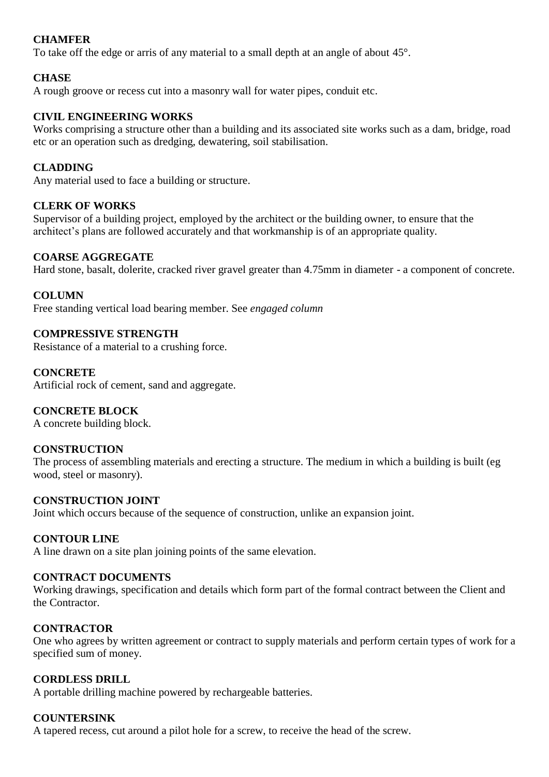# **CHAMFER**

To take off the edge or arris of any material to a small depth at an angle of about 45°.

# **CHASE**

A rough groove or recess cut into a masonry wall for water pipes, conduit etc.

# **CIVIL ENGINEERING WORKS**

Works comprising a structure other than a building and its associated site works such as a dam, bridge, road etc or an operation such as dredging, dewatering, soil stabilisation.

# **CLADDING**

Any material used to face a building or structure.

# **CLERK OF WORKS**

Supervisor of a building project, employed by the architect or the building owner, to ensure that the architect's plans are followed accurately and that workmanship is of an appropriate quality.

# **COARSE AGGREGATE**

Hard stone, basalt, dolerite, cracked river gravel greater than 4.75mm in diameter - a component of concrete.

# **COLUMN**

Free standing vertical load bearing member. See *engaged column*

# **COMPRESSIVE STRENGTH**

Resistance of a material to a crushing force.

# **CONCRETE**

Artificial rock of cement, sand and aggregate.

# **CONCRETE BLOCK**

A concrete building block.

# **CONSTRUCTION**

The process of assembling materials and erecting a structure. The medium in which a building is built (eg wood, steel or masonry).

#### **CONSTRUCTION JOINT**

Joint which occurs because of the sequence of construction, unlike an expansion joint.

# **CONTOUR LINE**

A line drawn on a site plan joining points of the same elevation.

## **CONTRACT DOCUMENTS**

Working drawings, specification and details which form part of the formal contract between the Client and the Contractor.

#### **CONTRACTOR**

One who agrees by written agreement or contract to supply materials and perform certain types of work for a specified sum of money.

# **CORDLESS DRILL**

A portable drilling machine powered by rechargeable batteries.

#### **COUNTERSINK**

A tapered recess, cut around a pilot hole for a screw, to receive the head of the screw.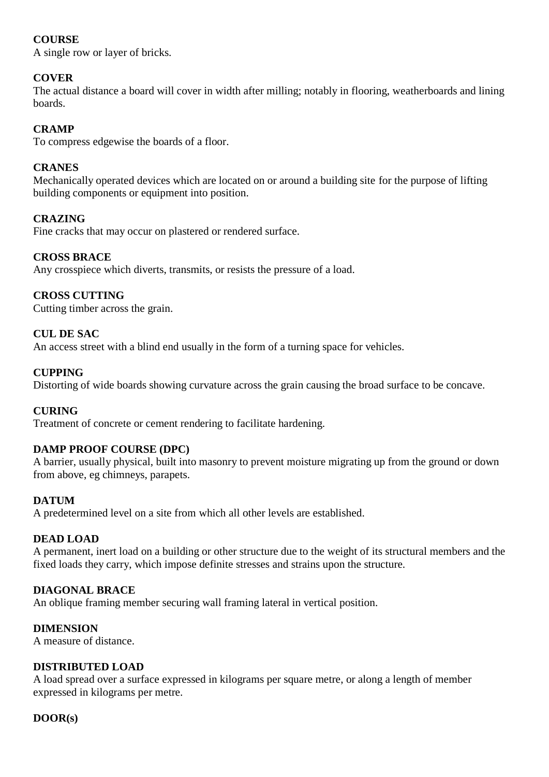# **COURSE**

A single row or layer of bricks.

# **COVER**

The actual distance a board will cover in width after milling; notably in flooring, weatherboards and lining boards.

# **CRAMP**

To compress edgewise the boards of a floor.

# **CRANES**

Mechanically operated devices which are located on or around a building site for the purpose of lifting building components or equipment into position.

# **CRAZING**

Fine cracks that may occur on plastered or rendered surface.

# **CROSS BRACE**

Any crosspiece which diverts, transmits, or resists the pressure of a load.

# **CROSS CUTTING**

Cutting timber across the grain.

# **CUL DE SAC**

An access street with a blind end usually in the form of a turning space for vehicles.

# **CUPPING**

Distorting of wide boards showing curvature across the grain causing the broad surface to be concave.

#### **CURING**

Treatment of concrete or cement rendering to facilitate hardening.

# **DAMP PROOF COURSE (DPC)**

A barrier, usually physical, built into masonry to prevent moisture migrating up from the ground or down from above, eg chimneys, parapets.

#### **DATUM**

A predetermined level on a site from which all other levels are established.

#### **DEAD LOAD**

A permanent, inert load on a building or other structure due to the weight of its structural members and the fixed loads they carry, which impose definite stresses and strains upon the structure.

# **DIAGONAL BRACE**

An oblique framing member securing wall framing lateral in vertical position.

#### **DIMENSION**

A measure of distance.

#### **DISTRIBUTED LOAD**

A load spread over a surface expressed in kilograms per square metre, or along a length of member expressed in kilograms per metre.

#### **DOOR(s)**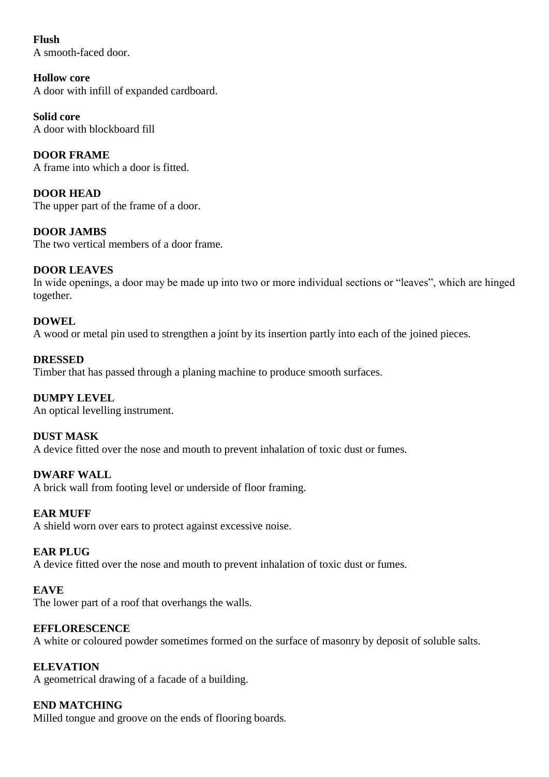**Flush** A smooth-faced door.

**Hollow core** A door with infill of expanded cardboard.

**Solid core** A door with blockboard fill

**DOOR FRAME** A frame into which a door is fitted.

**DOOR HEAD** The upper part of the frame of a door.

**DOOR JAMBS** The two vertical members of a door frame.

# **DOOR LEAVES**

In wide openings, a door may be made up into two or more individual sections or "leaves", which are hinged together.

# **DOWEL**

A wood or metal pin used to strengthen a joint by its insertion partly into each of the joined pieces.

# **DRESSED**

Timber that has passed through a planing machine to produce smooth surfaces.

# **DUMPY LEVEL**

An optical levelling instrument.

# **DUST MASK**

A device fitted over the nose and mouth to prevent inhalation of toxic dust or fumes.

# **DWARF WALL**

A brick wall from footing level or underside of floor framing.

# **EAR MUFF**

A shield worn over ears to protect against excessive noise.

# **EAR PLUG**

A device fitted over the nose and mouth to prevent inhalation of toxic dust or fumes.

# **EAVE**

The lower part of a roof that overhangs the walls.

# **EFFLORESCENCE**

A white or coloured powder sometimes formed on the surface of masonry by deposit of soluble salts.

# **ELEVATION**

A geometrical drawing of a facade of a building.

# **END MATCHING**

Milled tongue and groove on the ends of flooring boards.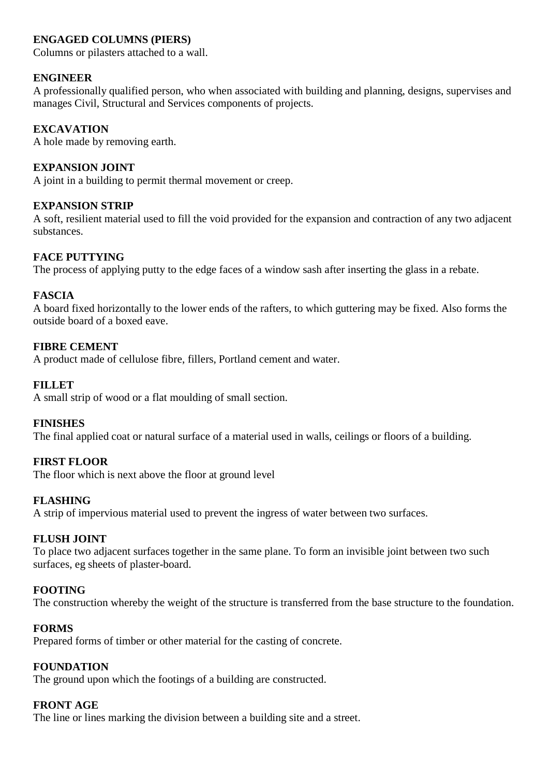# **ENGAGED COLUMNS (PIERS)**

Columns or pilasters attached to a wall.

# **ENGINEER**

A professionally qualified person, who when associated with building and planning, designs, supervises and manages Civil, Structural and Services components of projects.

# **EXCAVATION**

A hole made by removing earth.

# **EXPANSION JOINT**

A joint in a building to permit thermal movement or creep.

# **EXPANSION STRIP**

A soft, resilient material used to fill the void provided for the expansion and contraction of any two adjacent substances.

# **FACE PUTTYING**

The process of applying putty to the edge faces of a window sash after inserting the glass in a rebate.

# **FASCIA**

A board fixed horizontally to the lower ends of the rafters, to which guttering may be fixed. Also forms the outside board of a boxed eave.

# **FIBRE CEMENT**

A product made of cellulose fibre, fillers, Portland cement and water.

# **FILLET**

A small strip of wood or a flat moulding of small section.

#### **FINISHES**

The final applied coat or natural surface of a material used in walls, ceilings or floors of a building.

# **FIRST FLOOR**

The floor which is next above the floor at ground level

#### **FLASHING**

A strip of impervious material used to prevent the ingress of water between two surfaces.

# **FLUSH JOINT**

To place two adjacent surfaces together in the same plane. To form an invisible joint between two such surfaces, eg sheets of plaster-board.

# **FOOTING**

The construction whereby the weight of the structure is transferred from the base structure to the foundation.

#### **FORMS**

Prepared forms of timber or other material for the casting of concrete.

# **FOUNDATION**

The ground upon which the footings of a building are constructed.

# **FRONT AGE**

The line or lines marking the division between a building site and a street.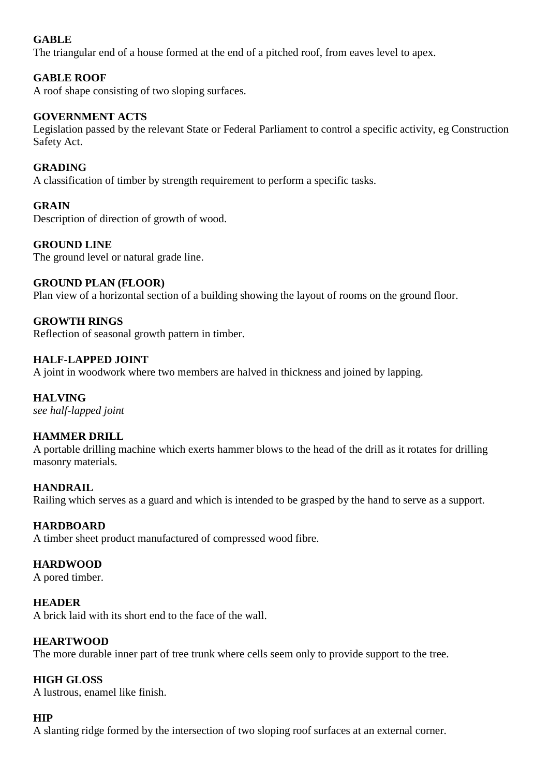# **GABLE**

The triangular end of a house formed at the end of a pitched roof, from eaves level to apex.

# **GABLE ROOF**

A roof shape consisting of two sloping surfaces.

# **GOVERNMENT ACTS**

Legislation passed by the relevant State or Federal Parliament to control a specific activity, eg Construction Safety Act.

# **GRADING**

A classification of timber by strength requirement to perform a specific tasks.

# **GRAIN**

Description of direction of growth of wood.

# **GROUND LINE**

The ground level or natural grade line.

# **GROUND PLAN (FLOOR)**

Plan view of a horizontal section of a building showing the layout of rooms on the ground floor.

# **GROWTH RINGS**

Reflection of seasonal growth pattern in timber.

# **HALF-LAPPED JOINT**

A joint in woodwork where two members are halved in thickness and joined by lapping.

# **HALVING**

*see half-lapped joint*

# **HAMMER DRILL**

A portable drilling machine which exerts hammer blows to the head of the drill as it rotates for drilling masonry materials.

#### **HANDRAIL**

Railing which serves as a guard and which is intended to be grasped by the hand to serve as a support.

#### **HARDBOARD**

A timber sheet product manufactured of compressed wood fibre.

#### **HARDWOOD**

A pored timber.

#### **HEADER**

A brick laid with its short end to the face of the wall.

#### **HEARTWOOD**

The more durable inner part of tree trunk where cells seem only to provide support to the tree.

#### **HIGH GLOSS**

A lustrous, enamel like finish.

# **HIP**

A slanting ridge formed by the intersection of two sloping roof surfaces at an external corner.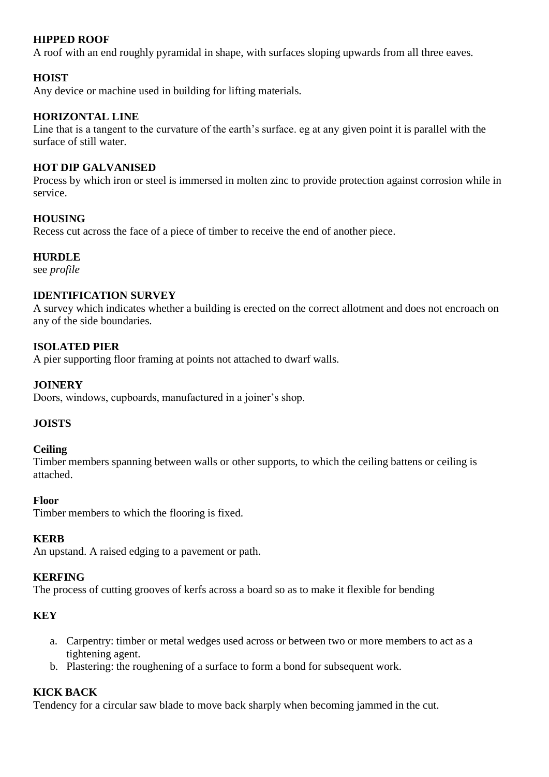# **HIPPED ROOF**

A roof with an end roughly pyramidal in shape, with surfaces sloping upwards from all three eaves.

# **HOIST**

Any device or machine used in building for lifting materials.

# **HORIZONTAL LINE**

Line that is a tangent to the curvature of the earth's surface. eg at any given point it is parallel with the surface of still water.

# **HOT DIP GALVANISED**

Process by which iron or steel is immersed in molten zinc to provide protection against corrosion while in service.

# **HOUSING**

Recess cut across the face of a piece of timber to receive the end of another piece.

# **HURDLE**

see *profile*

#### **IDENTIFICATION SURVEY**

A survey which indicates whether a building is erected on the correct allotment and does not encroach on any of the side boundaries.

# **ISOLATED PIER**

A pier supporting floor framing at points not attached to dwarf walls.

# **JOINERY**

Doors, windows, cupboards, manufactured in a joiner's shop.

# **JOISTS**

#### **Ceiling**

Timber members spanning between walls or other supports, to which the ceiling battens or ceiling is attached.

#### **Floor**

Timber members to which the flooring is fixed.

#### **KERB**

An upstand. A raised edging to a pavement or path.

#### **KERFING**

The process of cutting grooves of kerfs across a board so as to make it flexible for bending

# **KEY**

- a. Carpentry: timber or metal wedges used across or between two or more members to act as a tightening agent.
- b. Plastering: the roughening of a surface to form a bond for subsequent work.

#### **KICK BACK**

Tendency for a circular saw blade to move back sharply when becoming jammed in the cut.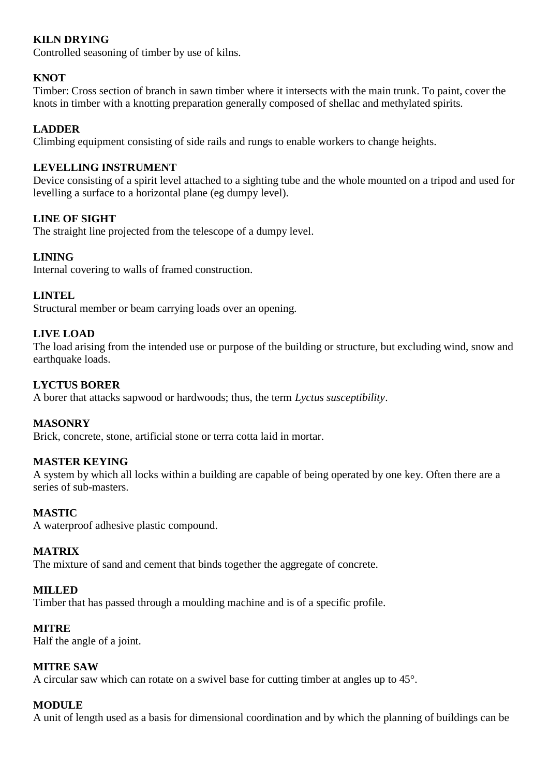# **KILN DRYING**

Controlled seasoning of timber by use of kilns.

# **KNOT**

Timber: Cross section of branch in sawn timber where it intersects with the main trunk. To paint, cover the knots in timber with a knotting preparation generally composed of shellac and methylated spirits.

# **LADDER**

Climbing equipment consisting of side rails and rungs to enable workers to change heights.

# **LEVELLING INSTRUMENT**

Device consisting of a spirit level attached to a sighting tube and the whole mounted on a tripod and used for levelling a surface to a horizontal plane (eg dumpy level).

# **LINE OF SIGHT**

The straight line projected from the telescope of a dumpy level.

# **LINING**

Internal covering to walls of framed construction.

# **LINTEL**

Structural member or beam carrying loads over an opening.

# **LIVE LOAD**

The load arising from the intended use or purpose of the building or structure, but excluding wind, snow and earthquake loads.

# **LYCTUS BORER**

A borer that attacks sapwood or hardwoods; thus, the term *Lyctus susceptibility*.

#### **MASONRY**

Brick, concrete, stone, artificial stone or terra cotta laid in mortar.

#### **MASTER KEYING**

A system by which all locks within a building are capable of being operated by one key. Often there are a series of sub-masters.

#### **MASTIC**

A waterproof adhesive plastic compound.

#### **MATRIX**

The mixture of sand and cement that binds together the aggregate of concrete.

#### **MILLED**

Timber that has passed through a moulding machine and is of a specific profile.

#### **MITRE**

Half the angle of a joint.

#### **MITRE SAW**

A circular saw which can rotate on a swivel base for cutting timber at angles up to 45°.

# **MODULE**

A unit of length used as a basis for dimensional coordination and by which the planning of buildings can be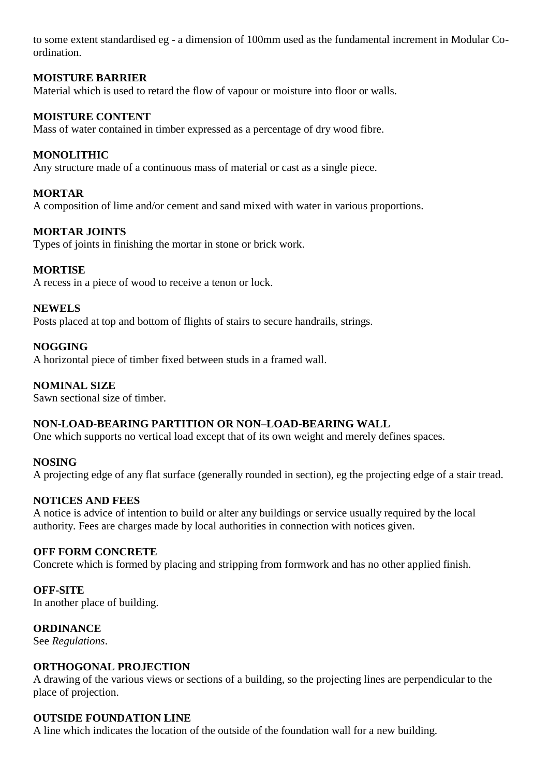to some extent standardised eg - a dimension of 100mm used as the fundamental increment in Modular Coordination.

# **MOISTURE BARRIER**

Material which is used to retard the flow of vapour or moisture into floor or walls.

# **MOISTURE CONTENT**

Mass of water contained in timber expressed as a percentage of dry wood fibre.

# **MONOLITHIC**

Any structure made of a continuous mass of material or cast as a single piece.

# **MORTAR**

A composition of lime and/or cement and sand mixed with water in various proportions.

# **MORTAR JOINTS**

Types of joints in finishing the mortar in stone or brick work.

# **MORTISE**

A recess in a piece of wood to receive a tenon or lock.

# **NEWELS**

Posts placed at top and bottom of flights of stairs to secure handrails, strings.

# **NOGGING**

A horizontal piece of timber fixed between studs in a framed wall.

# **NOMINAL SIZE**

Sawn sectional size of timber.

# **NON-LOAD-BEARING PARTITION OR NON–LOAD-BEARING WALL**

One which supports no vertical load except that of its own weight and merely defines spaces.

# **NOSING**

A projecting edge of any flat surface (generally rounded in section), eg the projecting edge of a stair tread.

# **NOTICES AND FEES**

A notice is advice of intention to build or alter any buildings or service usually required by the local authority. Fees are charges made by local authorities in connection with notices given.

#### **OFF FORM CONCRETE**

Concrete which is formed by placing and stripping from formwork and has no other applied finish.

#### **OFF-SITE**

In another place of building.

# **ORDINANCE**

See *Regulations*.

#### **ORTHOGONAL PROJECTION**

A drawing of the various views or sections of a building, so the projecting lines are perpendicular to the place of projection.

#### **OUTSIDE FOUNDATION LINE**

A line which indicates the location of the outside of the foundation wall for a new building.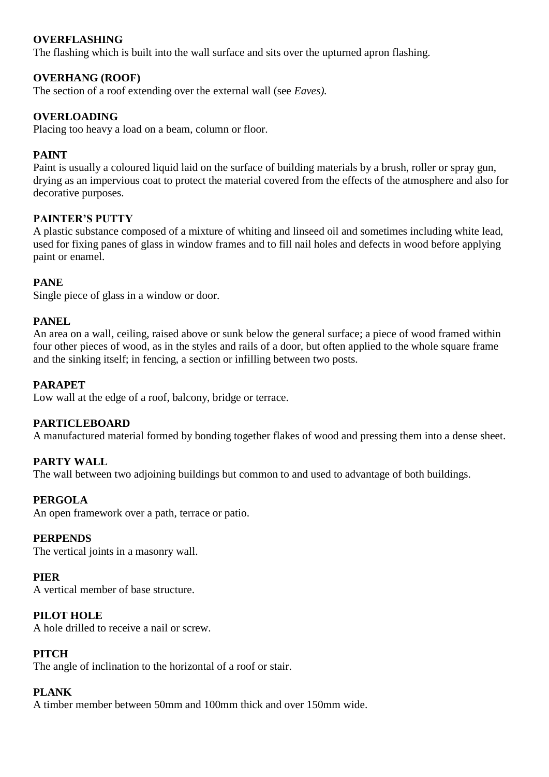# **OVERFLASHING**

The flashing which is built into the wall surface and sits over the upturned apron flashing.

# **OVERHANG (ROOF)**

The section of a roof extending over the external wall (see *Eaves).*

# **OVERLOADING**

Placing too heavy a load on a beam, column or floor.

# **PAINT**

Paint is usually a coloured liquid laid on the surface of building materials by a brush, roller or spray gun, drying as an impervious coat to protect the material covered from the effects of the atmosphere and also for decorative purposes.

# **PAINTER'S PUTTY**

A plastic substance composed of a mixture of whiting and linseed oil and sometimes including white lead, used for fixing panes of glass in window frames and to fill nail holes and defects in wood before applying paint or enamel.

# **PANE**

Single piece of glass in a window or door.

# **PANEL**

An area on a wall, ceiling, raised above or sunk below the general surface; a piece of wood framed within four other pieces of wood, as in the styles and rails of a door, but often applied to the whole square frame and the sinking itself; in fencing, a section or infilling between two posts.

#### **PARAPET**

Low wall at the edge of a roof, balcony, bridge or terrace.

#### **PARTICLEBOARD**

A manufactured material formed by bonding together flakes of wood and pressing them into a dense sheet.

#### **PARTY WALL**

The wall between two adjoining buildings but common to and used to advantage of both buildings.

#### **PERGOLA**

An open framework over a path, terrace or patio.

#### **PERPENDS**

The vertical joints in a masonry wall.

#### **PIER**

A vertical member of base structure.

#### **PILOT HOLE**

A hole drilled to receive a nail or screw.

#### **PITCH**

The angle of inclination to the horizontal of a roof or stair.

# **PLANK**

A timber member between 50mm and 100mm thick and over 150mm wide.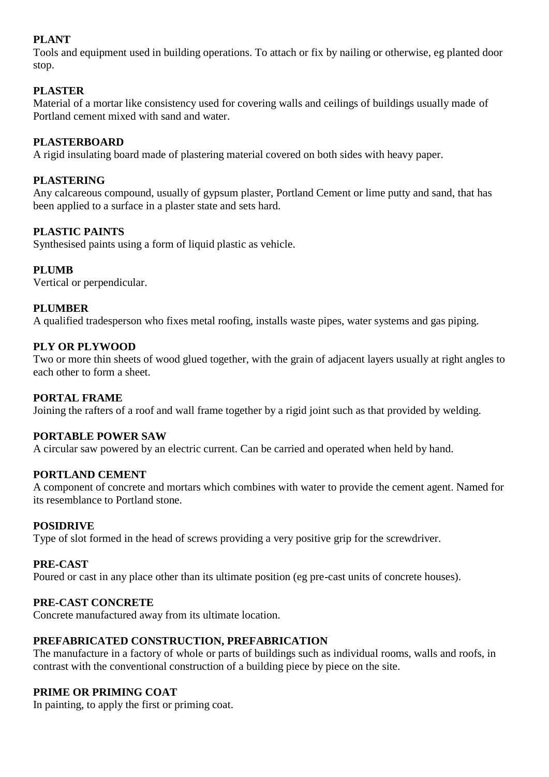# **PLANT**

Tools and equipment used in building operations. To attach or fix by nailing or otherwise, eg planted door stop.

# **PLASTER**

Material of a mortar like consistency used for covering walls and ceilings of buildings usually made of Portland cement mixed with sand and water.

# **PLASTERBOARD**

A rigid insulating board made of plastering material covered on both sides with heavy paper.

# **PLASTERING**

Any calcareous compound, usually of gypsum plaster, Portland Cement or lime putty and sand, that has been applied to a surface in a plaster state and sets hard.

# **PLASTIC PAINTS**

Synthesised paints using a form of liquid plastic as vehicle.

# **PLUMB**

Vertical or perpendicular.

# **PLUMBER**

A qualified tradesperson who fixes metal roofing, installs waste pipes, water systems and gas piping.

# **PLY OR PLYWOOD**

Two or more thin sheets of wood glued together, with the grain of adjacent layers usually at right angles to each other to form a sheet.

# **PORTAL FRAME**

Joining the rafters of a roof and wall frame together by a rigid joint such as that provided by welding.

#### **PORTABLE POWER SAW**

A circular saw powered by an electric current. Can be carried and operated when held by hand.

#### **PORTLAND CEMENT**

A component of concrete and mortars which combines with water to provide the cement agent. Named for its resemblance to Portland stone.

#### **POSIDRIVE**

Type of slot formed in the head of screws providing a very positive grip for the screwdriver.

#### **PRE-CAST**

Poured or cast in any place other than its ultimate position (eg pre-cast units of concrete houses).

# **PRE-CAST CONCRETE**

Concrete manufactured away from its ultimate location.

#### **PREFABRICATED CONSTRUCTION, PREFABRICATION**

The manufacture in a factory of whole or parts of buildings such as individual rooms, walls and roofs, in contrast with the conventional construction of a building piece by piece on the site.

# **PRIME OR PRIMING COAT**

In painting, to apply the first or priming coat.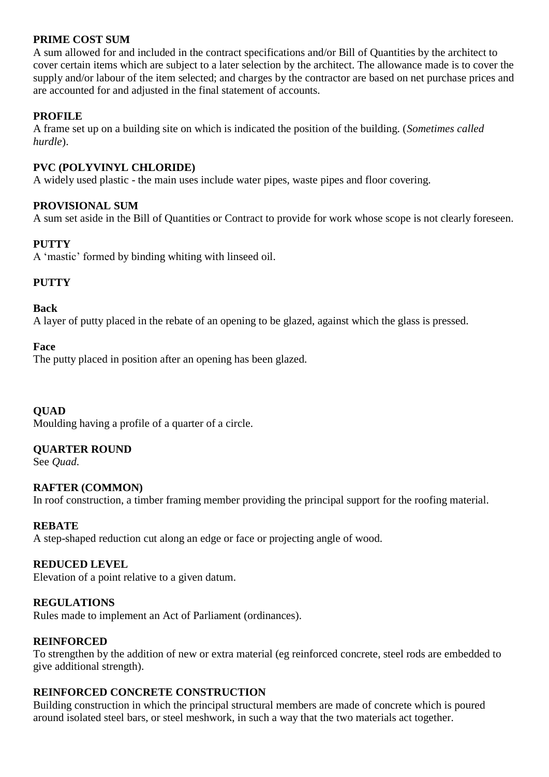# **PRIME COST SUM**

A sum allowed for and included in the contract specifications and/or Bill of Quantities by the architect to cover certain items which are subject to a later selection by the architect. The allowance made is to cover the supply and/or labour of the item selected; and charges by the contractor are based on net purchase prices and are accounted for and adjusted in the final statement of accounts.

# **PROFILE**

A frame set up on a building site on which is indicated the position of the building. (*Sometimes called hurdle*).

# **PVC (POLYVINYL CHLORIDE)**

A widely used plastic - the main uses include water pipes, waste pipes and floor covering.

# **PROVISIONAL SUM**

A sum set aside in the Bill of Quantities or Contract to provide for work whose scope is not clearly foreseen.

# **PUTTY**

A 'mastic' formed by binding whiting with linseed oil.

# **PUTTY**

#### **Back**

A layer of putty placed in the rebate of an opening to be glazed, against which the glass is pressed.

#### **Face**

The putty placed in position after an opening has been glazed.

**QUAD**

Moulding having a profile of a quarter of a circle.

#### **QUARTER ROUND**

See *Quad*.

#### **RAFTER (COMMON)**

In roof construction, a timber framing member providing the principal support for the roofing material.

#### **REBATE**

A step-shaped reduction cut along an edge or face or projecting angle of wood.

# **REDUCED LEVEL**

Elevation of a point relative to a given datum.

#### **REGULATIONS**

Rules made to implement an Act of Parliament (ordinances).

#### **REINFORCED**

To strengthen by the addition of new or extra material (eg reinforced concrete, steel rods are embedded to give additional strength).

#### **REINFORCED CONCRETE CONSTRUCTION**

Building construction in which the principal structural members are made of concrete which is poured around isolated steel bars, or steel meshwork, in such a way that the two materials act together.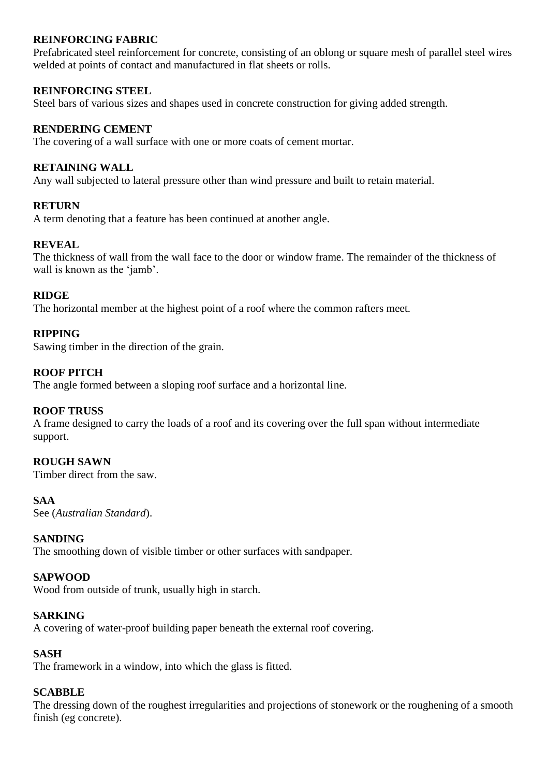# **REINFORCING FABRIC**

Prefabricated steel reinforcement for concrete, consisting of an oblong or square mesh of parallel steel wires welded at points of contact and manufactured in flat sheets or rolls.

# **REINFORCING STEEL**

Steel bars of various sizes and shapes used in concrete construction for giving added strength.

# **RENDERING CEMENT**

The covering of a wall surface with one or more coats of cement mortar.

#### **RETAINING WALL**

Any wall subjected to lateral pressure other than wind pressure and built to retain material.

#### **RETURN**

A term denoting that a feature has been continued at another angle.

#### **REVEAL**

The thickness of wall from the wall face to the door or window frame. The remainder of the thickness of wall is known as the 'jamb'.

# **RIDGE**

The horizontal member at the highest point of a roof where the common rafters meet.

# **RIPPING**

Sawing timber in the direction of the grain.

# **ROOF PITCH**

The angle formed between a sloping roof surface and a horizontal line.

#### **ROOF TRUSS**

A frame designed to carry the loads of a roof and its covering over the full span without intermediate support.

#### **ROUGH SAWN**

Timber direct from the saw.

#### **SAA**

See (*Australian Standard*).

#### **SANDING**

The smoothing down of visible timber or other surfaces with sandpaper.

#### **SAPWOOD**

Wood from outside of trunk, usually high in starch.

#### **SARKING**

A covering of water-proof building paper beneath the external roof covering.

#### **SASH**

The framework in a window, into which the glass is fitted.

#### **SCABBLE**

The dressing down of the roughest irregularities and projections of stonework or the roughening of a smooth finish (eg concrete).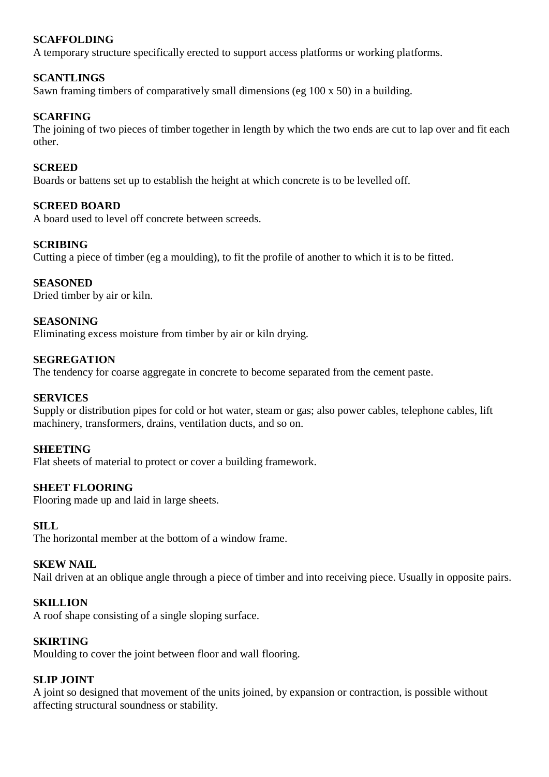# **SCAFFOLDING**

A temporary structure specifically erected to support access platforms or working platforms.

# **SCANTLINGS**

Sawn framing timbers of comparatively small dimensions (eg 100 x 50) in a building.

#### **SCARFING**

The joining of two pieces of timber together in length by which the two ends are cut to lap over and fit each other.

#### **SCREED**

Boards or battens set up to establish the height at which concrete is to be levelled off.

#### **SCREED BOARD**

A board used to level off concrete between screeds.

#### **SCRIBING**

Cutting a piece of timber (eg a moulding), to fit the profile of another to which it is to be fitted.

#### **SEASONED**

Dried timber by air or kiln.

# **SEASONING**

Eliminating excess moisture from timber by air or kiln drying.

# **SEGREGATION**

The tendency for coarse aggregate in concrete to become separated from the cement paste.

#### **SERVICES**

Supply or distribution pipes for cold or hot water, steam or gas; also power cables, telephone cables, lift machinery, transformers, drains, ventilation ducts, and so on.

#### **SHEETING**

Flat sheets of material to protect or cover a building framework.

#### **SHEET FLOORING**

Flooring made up and laid in large sheets.

#### **SILL**

The horizontal member at the bottom of a window frame.

#### **SKEW NAIL**

Nail driven at an oblique angle through a piece of timber and into receiving piece. Usually in opposite pairs.

#### **SKILLION**

A roof shape consisting of a single sloping surface.

#### **SKIRTING**

Moulding to cover the joint between floor and wall flooring.

#### **SLIP JOINT**

A joint so designed that movement of the units joined, by expansion or contraction, is possible without affecting structural soundness or stability.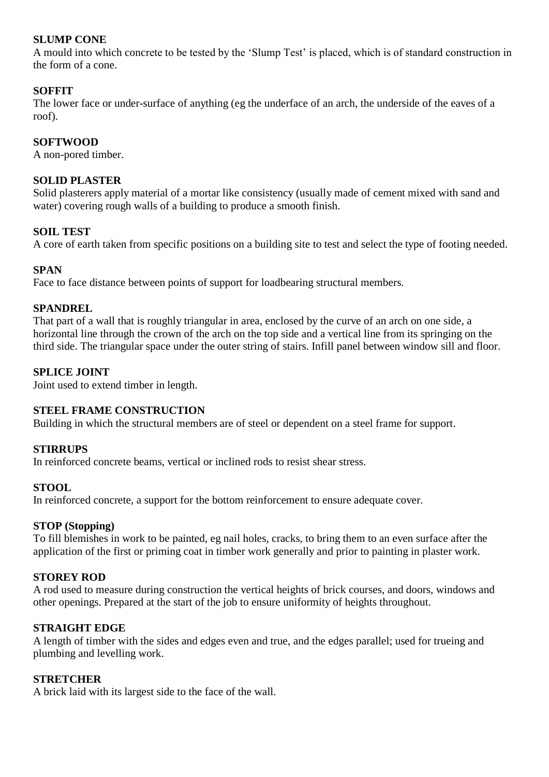# **SLUMP CONE**

A mould into which concrete to be tested by the 'Slump Test' is placed, which is of standard construction in the form of a cone.

# **SOFFIT**

The lower face or under-surface of anything (eg the underface of an arch, the underside of the eaves of a roof).

#### **SOFTWOOD**

A non-pored timber.

# **SOLID PLASTER**

Solid plasterers apply material of a mortar like consistency (usually made of cement mixed with sand and water) covering rough walls of a building to produce a smooth finish.

# **SOIL TEST**

A core of earth taken from specific positions on a building site to test and select the type of footing needed.

#### **SPAN**

Face to face distance between points of support for loadbearing structural members.

#### **SPANDREL**

That part of a wall that is roughly triangular in area, enclosed by the curve of an arch on one side, a horizontal line through the crown of the arch on the top side and a vertical line from its springing on the third side. The triangular space under the outer string of stairs. Infill panel between window sill and floor.

# **SPLICE JOINT**

Joint used to extend timber in length.

# **STEEL FRAME CONSTRUCTION**

Building in which the structural members are of steel or dependent on a steel frame for support.

#### **STIRRUPS**

In reinforced concrete beams, vertical or inclined rods to resist shear stress.

#### **STOOL**

In reinforced concrete, a support for the bottom reinforcement to ensure adequate cover.

#### **STOP (Stopping)**

To fill blemishes in work to be painted, eg nail holes, cracks, to bring them to an even surface after the application of the first or priming coat in timber work generally and prior to painting in plaster work.

#### **STOREY ROD**

A rod used to measure during construction the vertical heights of brick courses, and doors, windows and other openings. Prepared at the start of the job to ensure uniformity of heights throughout.

#### **STRAIGHT EDGE**

A length of timber with the sides and edges even and true, and the edges parallel; used for trueing and plumbing and levelling work.

#### **STRETCHER**

A brick laid with its largest side to the face of the wall.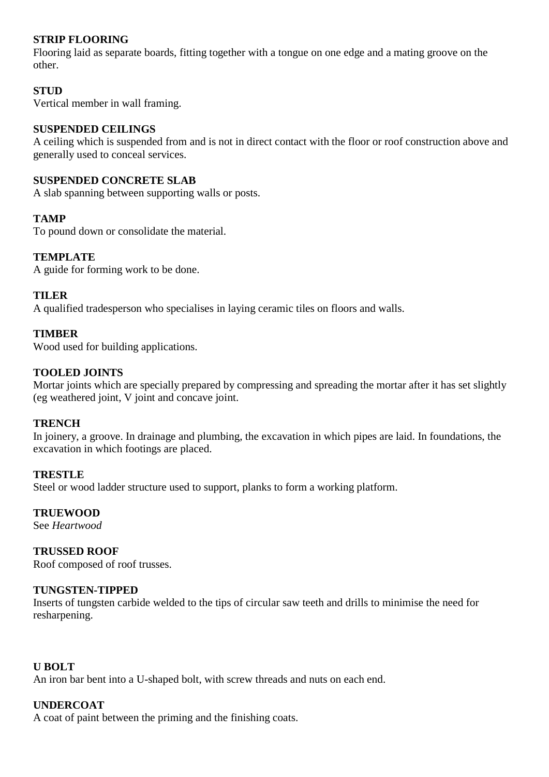# **STRIP FLOORING**

Flooring laid as separate boards, fitting together with a tongue on one edge and a mating groove on the other.

# **STUD**

Vertical member in wall framing.

#### **SUSPENDED CEILINGS**

A ceiling which is suspended from and is not in direct contact with the floor or roof construction above and generally used to conceal services.

#### **SUSPENDED CONCRETE SLAB**

A slab spanning between supporting walls or posts.

# **TAMP**

To pound down or consolidate the material.

# **TEMPLATE**

A guide for forming work to be done.

#### **TILER**

A qualified tradesperson who specialises in laying ceramic tiles on floors and walls.

# **TIMBER**

Wood used for building applications.

# **TOOLED JOINTS**

Mortar joints which are specially prepared by compressing and spreading the mortar after it has set slightly (eg weathered joint, V joint and concave joint.

#### **TRENCH**

In joinery, a groove. In drainage and plumbing, the excavation in which pipes are laid. In foundations, the excavation in which footings are placed.

#### **TRESTLE**

Steel or wood ladder structure used to support, planks to form a working platform.

# **TRUEWOOD**

See *Heartwood*

# **TRUSSED ROOF**

Roof composed of roof trusses.

#### **TUNGSTEN-TIPPED**

Inserts of tungsten carbide welded to the tips of circular saw teeth and drills to minimise the need for resharpening.

#### **U BOLT**

An iron bar bent into a U-shaped bolt, with screw threads and nuts on each end.

# **UNDERCOAT**

A coat of paint between the priming and the finishing coats.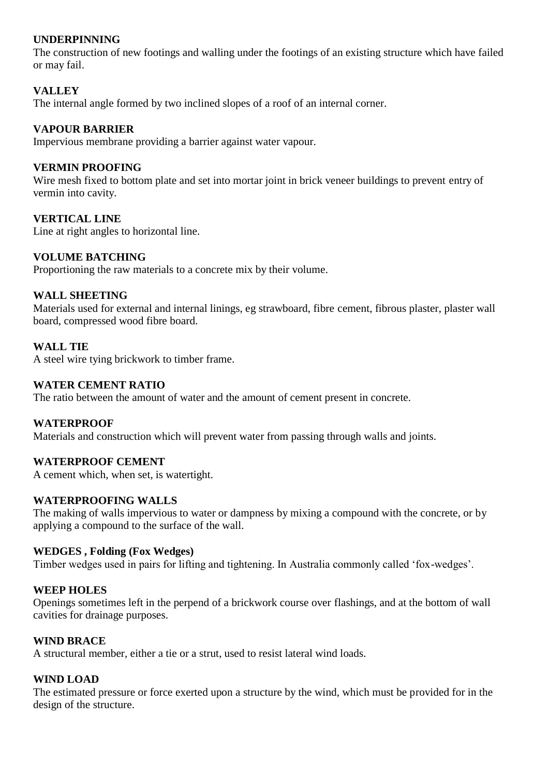# **UNDERPINNING**

The construction of new footings and walling under the footings of an existing structure which have failed or may fail.

# **VALLEY**

The internal angle formed by two inclined slopes of a roof of an internal corner.

#### **VAPOUR BARRIER**

Impervious membrane providing a barrier against water vapour.

# **VERMIN PROOFING**

Wire mesh fixed to bottom plate and set into mortar joint in brick veneer buildings to prevent entry of vermin into cavity.

#### **VERTICAL LINE**

Line at right angles to horizontal line.

#### **VOLUME BATCHING**

Proportioning the raw materials to a concrete mix by their volume.

#### **WALL SHEETING**

Materials used for external and internal linings, eg strawboard, fibre cement, fibrous plaster, plaster wall board, compressed wood fibre board.

#### **WALL TIE**

A steel wire tying brickwork to timber frame.

#### **WATER CEMENT RATIO**

The ratio between the amount of water and the amount of cement present in concrete.

#### **WATERPROOF**

Materials and construction which will prevent water from passing through walls and joints.

#### **WATERPROOF CEMENT**

A cement which, when set, is watertight.

#### **WATERPROOFING WALLS**

The making of walls impervious to water or dampness by mixing a compound with the concrete, or by applying a compound to the surface of the wall.

#### **WEDGES , Folding (Fox Wedges)**

Timber wedges used in pairs for lifting and tightening. In Australia commonly called 'fox-wedges'.

#### **WEEP HOLES**

Openings sometimes left in the perpend of a brickwork course over flashings, and at the bottom of wall cavities for drainage purposes.

#### **WIND BRACE**

A structural member, either a tie or a strut, used to resist lateral wind loads.

#### **WIND LOAD**

The estimated pressure or force exerted upon a structure by the wind, which must be provided for in the design of the structure.